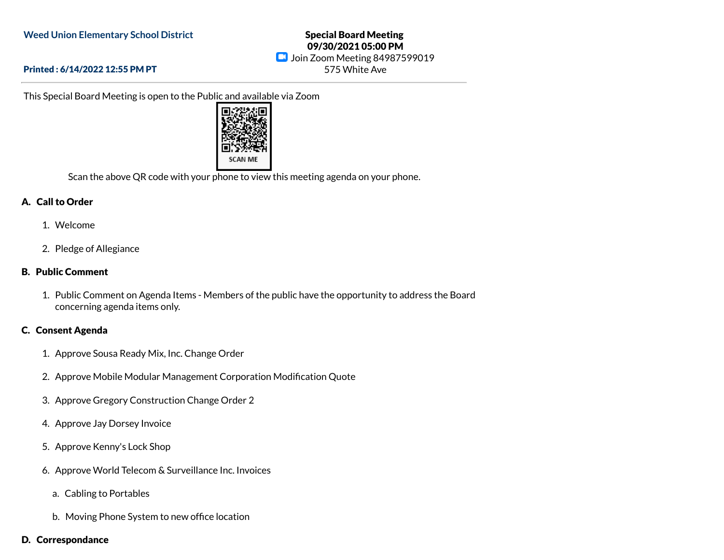### Special Board Meeting 09/30/2021 05:00 PM **D** Join Zoom Meeting 84987599019 575 White Ave

#### Printed : 6/14/2022 12:55 PM PT

This Special Board Meeting is open to the Public and available via Zoom



Scan the above QR code with your phone to view this meeting agenda on your phone.

#### A. Call to Order

- 1. Welcome
- 2. Pledge of Allegiance

### B. Public Comment

1. Public Comment on Agenda Items - Members of the public have the opportunity to address the Board concerning agenda items only.

# C. Consent Agenda

- 1. Approve Sousa Ready Mix, Inc. Change Order
- 2. Approve Mobile Modular Management Corporation Modification Quote
- 3. Approve Gregory Construction Change Order 2
- 4. Approve Jay Dorsey Invoice
- 5. Approve Kenny's Lock Shop
- 6. Approve World Telecom & Surveillance Inc. Invoices
	- a. Cabling to Portables
	- b. Moving Phone System to new office location
- D. Correspondance